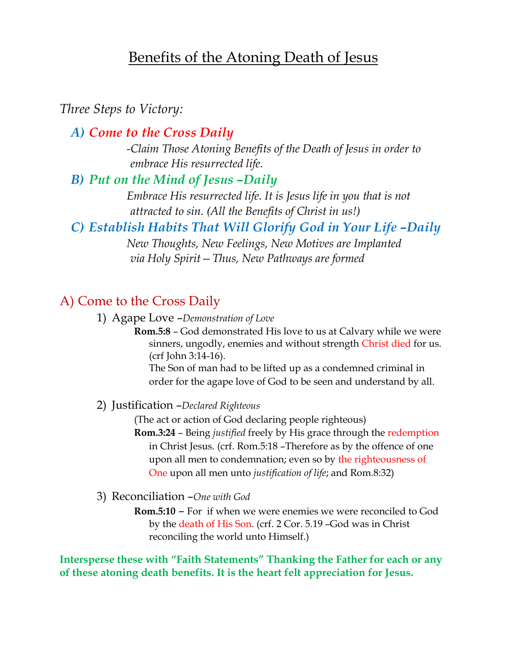# Benefits of the Atoning Death of Jesus

### *Three Steps to Victory:*

### *A) Come to the Cross Daily*

*-Claim Those Atoning Benefits of the Death of Jesus in order to embrace His resurrected life.*

### *B) Put on the Mind of Jesus –Daily*

*Embrace His resurrected life. It is Jesus life in you that is not attracted to sin. (All the Benefits of Christ in us!)*

### *C) Establish Habits That Will Glorify God in Your Life –Daily*

*New Thoughts, New Feelings, New Motives are Implanted via Holy Spirit—Thus, New Pathways are formed*

### A) Come to the Cross Daily

1) Agape Love –*Demonstration of Love*

**Rom.5:8** – God demonstrated His love to us at Calvary while we were sinners, ungodly, enemies and without strength Christ died for us. (crf John 3:14-16).

The Son of man had to be lifted up as a condemned criminal in order for the agape love of God to be seen and understand by all.

#### 2) Justification –*Declared Righteous*

(The act or action of God declaring people righteous) **Rom.3:24** – Being *justified* freely by His grace through the redemption in Christ Jesus. (crf. Rom.5:18 –Therefore as by the offence of one upon all men to condemnation; even so by the righteousness of One upon all men unto *justification of life*; and Rom.8:32)

#### 3) Reconciliation –*One with God*

**Rom.5:10** – For if when we were enemies we were reconciled to God by the death of His Son. (crf. 2 Cor. 5.19 –God was in Christ reconciling the world unto Himself.)

**Intersperse these with "Faith Statements" Thanking the Father for each or any of these atoning death benefits. It is the heart felt appreciation for Jesus.**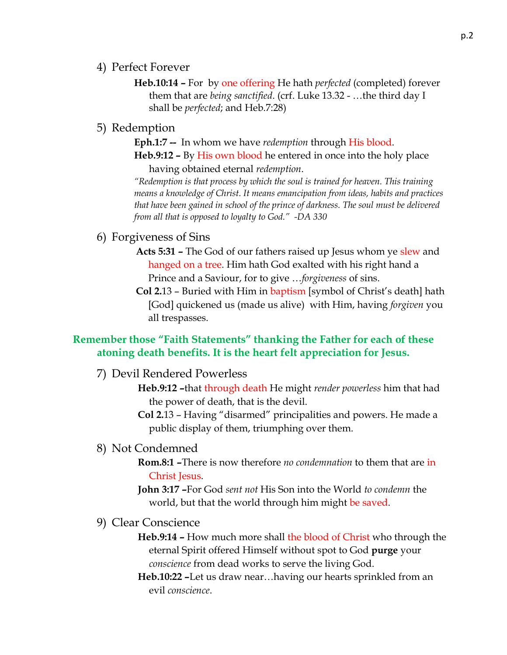- 4) Perfect Forever
	- **Heb.10:14 –** For by one offering He hath *perfected* (completed) forever them that are *being sanctified*. (crf. Luke 13.32 - …the third day I shall be *perfected*; and Heb.7:28)
- 5) Redemption

**Eph.1:7 --** In whom we have *redemption* through His blood. **Heb.9:12 –** By His own blood he entered in once into the holy place

having obtained eternal *redemption*. *"Redemption is that process by which the soul is trained for heaven. This training means a knowledge of Christ. It means emancipation from ideas, habits and practices that have been gained in school of the prince of darkness. The soul must be delivered from all that is opposed to loyalty to God." -DA 330*

- 6) Forgiveness of Sins
	- **Acts 5:31 –** The God of our fathers raised up Jesus whom ye slew and hanged on a tree. Him hath God exalted with his right hand a Prince and a Saviour, for to give …*forgiveness* of sins.
	- **Col 2.**13 Buried with Him in baptism [symbol of Christ's death] hath [God] quickened us (made us alive) with Him, having *forgiven* you all trespasses.

### **Remember those "Faith Statements" thanking the Father for each of these atoning death benefits. It is the heart felt appreciation for Jesus.**

7) Devil Rendered Powerless

- **Heb.9:12 –**that through death He might *render powerless* him that had the power of death, that is the devil.
- **Col 2.**13 Having "disarmed" principalities and powers. He made a public display of them, triumphing over them.
- 8) Not Condemned
	- **Rom.8:1 –**There is now therefore *no condemnation* to them that are in Christ Jesus.

**John 3:17 –**For God *sent not* His Son into the World *to condemn* the world, but that the world through him might be saved.

9) Clear Conscience

**Heb.9:14 –** How much more shall the blood of Christ who through the eternal Spirit offered Himself without spot to God **purge** your *conscience* from dead works to serve the living God.

**Heb.10:22 –**Let us draw near…having our hearts sprinkled from an evil *conscience*.